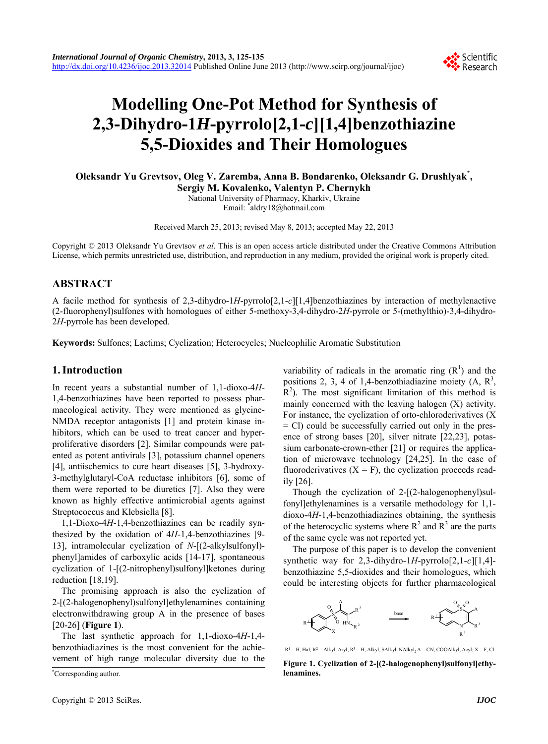

# **Modelling One-Pot Method for Synthesis of 2,3-Dihydro-1***H***-pyrrolo[2,1-***c***][1,4]benzothiazine 5,5-Dioxides and Their Homologues**

**Oleksandr Yu Grevtsov, Oleg V. Zaremba, Anna B. Bondarenko, Oleksandr G. Drushlyak\* , Sergiy M. Kovalenko, Valentyn P. Chernykh** 

National University of Pharmacy, Kharkiv, Ukraine Email: \* aldry18@hotmail.com

Received March 25, 2013; revised May 8, 2013; accepted May 22, 2013

Copyright © 2013 Oleksandr Yu Grevtsov *et al*. This is an open access article distributed under the Creative Commons Attribution License, which permits unrestricted use, distribution, and reproduction in any medium, provided the original work is properly cited.

# **ABSTRACT**

A facile method for synthesis of 2,3-dihydro-1*H*-pyrrolo[2,1-*c*][1,4]benzothiazines by interaction of methylenactive (2-fluorophenyl)sulfones with homologues of either 5-methoxy-3,4-dihydro-2*H*-pyrrole or 5-(methylthio)-3,4-dihydro-2*H*-pyrrole has been developed.

**Keywords:** Sulfones; Lactims; Cyclization; Heterocycles; Nucleophilic Aromatic Substitution

## **1. Introduction**

In recent years a substantial number of 1,1-dioxo-4*H*-1,4-benzothiazines have been reported to possess pharmacological activity. They were mentioned as glycine-NMDA receptor antagonists [1] and protein kinase inhibitors, which can be used to treat cancer and hyperproliferative disorders [2]. Similar compounds were patented as potent antivirals [3], potassium channel openers [4], antiischemics to cure heart diseases [5], 3-hydroxy-3-methylglutaryl-CoA reductase inhibitors [6], some of them were reported to be diuretics [7]. Also they were known as highly effective antimicrobial agents against Streptococcus and Klebsiella [8].

1,1-Dioxo-4*H*-1,4-benzothiazines can be readily synthesized by the oxidation of 4*H*-1,4-benzothiazines [9- 13], intramolecular cyclization of *N*-[(2-alkylsulfonyl) phenyl]amides of carboxylic acids [14-17], spontaneous cyclization of 1-[(2-nitrophenyl)sulfonyl]ketones during reduction [18,19].

The promising approach is also the cyclization of 2-[(2-halogenophenyl)sulfonyl]ethylenamines containing electronwithdrawing group A in the presence of bases [20-26] (**Figure 1**).

The last synthetic approach for 1,1-dioxo-4*H*-1,4 benzothiadiazines is the most convenient for the achievement of high range molecular diversity due to the

**lenamines.** \* Corresponding author.

variability of radicals in the aromatic ring  $(R<sup>1</sup>)$  and the positions 2, 3, 4 of 1,4-benzothiadiazine moiety  $(A, R^3)$ ,  $R<sup>2</sup>$ ). The most significant limitation of this method is mainly concerned with the leaving halogen (X) activity. For instance, the cyclization of orto-chloroderivatives (X = Cl) could be successfully carried out only in the presence of strong bases [20], silver nitrate [22,23], potassium carbonate-crown-ether [21] or requires the application of microwave technology [24,25]. In the case of fluoroderivatives  $(X = F)$ , the cyclization proceeds readily [26].

Though the cyclization of 2-[(2-halogenophenyl)sulfonyl]ethylenamines is a versatile methodology for 1,1 dioxo-4*H*-1,4-benzothiadiazines obtaining, the synthesis of the heterocyclic systems where  $R^2$  and  $R^3$  are the parts of the same cycle was not reported yet.

The purpose of this paper is to develop the convenient synthetic way for 2,3-dihydro-1*H*-pyrrolo[2,1-*c*][1,4] benzothiazine 5,5-dioxides and their homologues, which could be interesting objects for further pharmacological



 $R<sup>1</sup> = H$ , Hal;  $R<sup>2</sup> = Alkyl$ , Aryl;  $R<sup>3</sup> = H$ , Alkyl, SAlkyl, NAlkyl<sub>2</sub> A = CN, COOAlkyl, Acyl; X = F, Cl

**Figure 1. Cyclization of 2-[(2-halogenophenyl)sulfonyl]ethy-**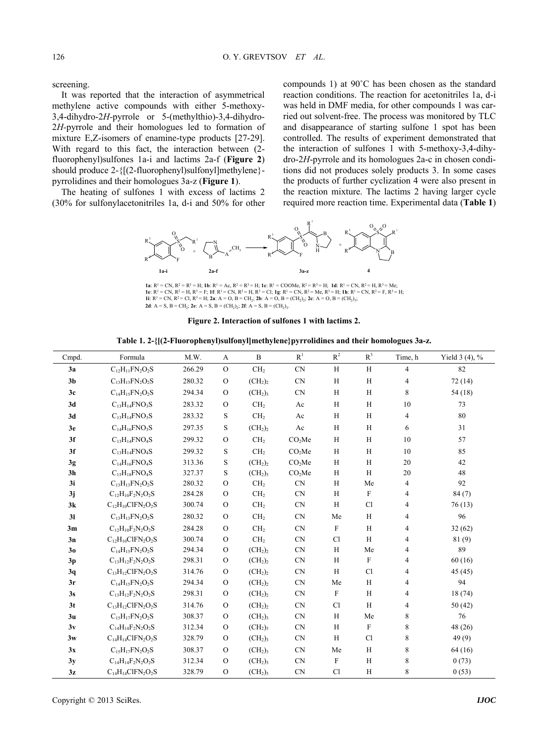screening.

It was reported that the interaction of asymmetrical methylene active compounds with either 5-methoxy-3,4-dihydro-2*H-*pyrrole or 5-(methylthio)-3,4-dihydro-2*H-*pyrrole and their homologues led to formation of mixture E,Z-isomers of enamine-type products [27-29]. With regard to this fact, the interaction between (2 fluorophenyl)sulfones 1a-i and lactims 2а-f (**Figure 2**) should produce 2-{[(2-fluorophenyl)sulfonyl]methylene} pyrrolidines and their homologues 3а-z (**Figure 1**).

The heating of sulfones 1 with excess of lactims 2 (30% for sulfonylacetonitriles 1а, d-i and 50% for other compounds 1) at 90˚C has been chosen as the standard reaction conditions. The reaction for acetonitriles 1а, d-i was held in DMF media, for other compounds 1 was carried out solvent-free. The process was monitored by TLC and disappearance of starting sulfone 1 spot has been controlled. The results of experiment demonstrated that the interaction of sulfones 1 with 5-methoxy-3,4-dihydro-2*H*-pyrrole and its homologues 2a-c in chosen conditions did not produces solely products 3. In some cases the products of further cyclization 4 were also present in the reaction mixture. The lactims 2 having larger cycle required more reaction time. Experimental data (**Table 1**)



**1a**: R<sup>1</sup> = CN, R<sup>2</sup> = R<sup>3</sup> = H; **1b**: R<sup>1</sup> = Ac, R<sup>2</sup> = R<sup>3</sup> = H; **1c**: R<sup>1</sup> = COOMe, R<sup>2</sup> = R<sup>3</sup> = H; **1d**: R<sup>1</sup> = CN, R<sup>2</sup> = H, R<sup>3</sup> = Me;<br>**1e**: R<sup>1</sup> = CN, R<sup>2</sup> = H, R<sup>3</sup> = F; **1f**: R<sup>1</sup> = CN, R<sup>2</sup> = H, R<sup>3</sup> = Cl; **1g 2d**:  $A = S$ ,  $B = CH_2$ ; **2e**:  $A = S$ ,  $B = (CH_2)_2$ ; **2f**:  $A = S$ ,  $B = (CH_2)_3$ .

**Figure 2. Interaction of sulfones 1 with lactims 2.**

**Table 1. 2-{[(2-Fluorophenyl)sulfonyl]methylene}pyrrolidines and their homologues 3а-z.** 

| Cmpd.          | Formula                        | M.W.   | A             | $\, {\bf B}$                    | $\mathbf{R}^1$     | $\mathbb{R}^2$ | $R^3$        | Time, h        | Yield $3(4)$ , % |
|----------------|--------------------------------|--------|---------------|---------------------------------|--------------------|----------------|--------------|----------------|------------------|
| 3a             | $C_{12}H_{11}FN_{2}O_{2}S$     | 266.29 | $\mathcal{O}$ | CH <sub>2</sub>                 | <b>CN</b>          | $\, {\rm H}$   | H            | 4              | 82               |
| 3 <sub>b</sub> | $C_{13}H_{13}FN_2O_2S$         | 280.32 | $\mathbf{O}$  | (CH <sub>2</sub> ) <sub>2</sub> | <b>CN</b>          | $\, {\rm H}$   | H            | 4              | 72(14)           |
| 3c             | $C_{14}H_{15}FN_{2}O_{2}S$     | 294.34 | $\mathbf{O}$  | (CH <sub>2</sub> ) <sub>3</sub> | <b>CN</b>          | $\, {\rm H}$   | H            | 8              | 54(18)           |
| 3d             | $C_{13}H_{14}FNO_3S$           | 283.32 | $\mathbf{O}$  | CH <sub>2</sub>                 | Ac                 | $\, {\rm H}$   | H            | $10\,$         | 73               |
| 3d             | $C_{13}H_{14}FNO_3S$           | 283.32 | S             | CH <sub>2</sub>                 | Ac                 | $\, {\rm H}$   | H            | 4              | 80               |
| 3e             | $C_{14}H_{16}FNO_3S$           | 297.35 | S             | (CH <sub>2</sub> ) <sub>2</sub> | Ac                 | $\, {\rm H}$   | H            | 6              | 31               |
| 3f             | $C_{13}H_{14}FNO_4S$           | 299.32 | $\mathbf{O}$  | CH <sub>2</sub>                 | CO <sub>2</sub> Me | $\,$ H         | H            | $10\,$         | 57               |
| 3f             | $C_{13}H_{14}FNO_4S$           | 299.32 | S             | CH <sub>2</sub>                 | CO <sub>2</sub> Me | $\, {\rm H}$   | H            | $10\,$         | 85               |
| 3g             | $C_{14}H_{16}FNO_4S$           | 313.36 | $\mathbf S$   | (CH <sub>2</sub> ) <sub>2</sub> | CO <sub>2</sub> Me | $\, {\rm H}$   | $\, {\rm H}$ | 20             | 42               |
| 3 <sub>h</sub> | $C_{15}H_{18}FNO_4S$           | 327.37 | S             | (CH <sub>2</sub> ) <sub>3</sub> | CO <sub>2</sub> Me | $\, {\rm H}$   | $\mathbf H$  | $20\,$         | 48               |
| 3i             | $C_{13}H_{13}FN_2O_2S$         | 280.32 | $\mathbf{O}$  | CH <sub>2</sub>                 | <b>CN</b>          | $\,$ H         | Me           | 4              | 92               |
| 3j             | $C_{12}H_{10}F_2N_2O_2S$       | 284.28 | $\mathbf{O}$  | CH <sub>2</sub>                 | <b>CN</b>          | $\, {\rm H}$   | $\mathbf F$  | 4              | 84(7)            |
| 3k             | $C_{12}H_{10}CIFN_2O_2S$       | 300.74 | $\mathbf{O}$  | CH <sub>2</sub>                 | CN                 | $\, {\rm H}$   | <b>Cl</b>    | 4              | 76(13)           |
| 3 <sub>l</sub> | $C_{13}H_{13}FN_{2}O_{2}S$     | 280.32 | $\mathbf{O}$  | CH <sub>2</sub>                 | <b>CN</b>          | Me             | H            | 4              | 96               |
| 3m             | $C_{12}H_{10}F_2N_2O_2S$       | 284.28 | $\Omega$      | CH <sub>2</sub>                 | <b>CN</b>          | $\mathbf F$    | H            | $\overline{4}$ | 32(62)           |
| 3n             | $C_{12}H_{10}CIFN_2O_2S$       | 300.74 | $\mathbf{O}$  | CH <sub>2</sub>                 | <b>CN</b>          | Cl             | $\mathbf H$  | 4              | 81(9)            |
| 3 <sub>0</sub> | $C_{14}H_{15}FN_2O_2S$         | 294.34 | $\mathbf{O}$  | (CH <sub>2</sub> ) <sub>2</sub> | CN                 | $\,$ H         | Me           | 4              | 89               |
| 3p             | $C_{13}H_{12}F_2N_2O_2S$       | 298.31 | $\mathbf{O}$  | (CH <sub>2</sub> ) <sub>2</sub> | CN                 | $\,$ H         | $\mathbf F$  | 4              | 60(16)           |
| 3q             | $C_{13}H_{12}CIFN_2O_2S$       | 314.76 | $\Omega$      | (CH <sub>2</sub> ) <sub>2</sub> | CN                 | $\mathbf H$    | <b>Cl</b>    | 4              | 45 (45)          |
| 3r             | $C_{14}H_{15}FN_{2}O_{2}S$     | 294.34 | $\mathbf{O}$  | (CH <sub>2</sub> ) <sub>2</sub> | CN                 | Me             | H            | 4              | 94               |
| 3s             | $C_{13}H_{12}F_2N_2O_2S$       | 298.31 | $\mathbf{O}$  | (CH <sub>2</sub> ) <sub>2</sub> | CN                 | $\rm F$        | H            | 4              | 18(74)           |
| 3 <sub>t</sub> | $C_{13}H_{12}CIFN_2O_2S$       | 314.76 | $\mathbf{O}$  | (CH <sub>2</sub> ) <sub>2</sub> | CN                 | Cl             | H            | 4              | 50(42)           |
| 3 <sub>u</sub> | $C_{15}H_{17}FN_{2}O_{2}S$     | 308.37 | $\mathbf{O}$  | (CH <sub>2</sub> ) <sub>3</sub> | <b>CN</b>          | $\, {\rm H}$   | Me           | 8              | 76               |
| 3v             | $C_{14}H_{14}F_2N_2O_2S$       | 312.34 | $\Omega$      | (CH <sub>2</sub> ) <sub>3</sub> | <b>CN</b>          | $\,$ H         | $\mathbf F$  | 8              | 48 (26)          |
| 3w             | $C_{14}H_{14}CIFN_2O_2S$       | 328.79 | $\mathbf{O}$  | (CH <sub>2</sub> ) <sub>3</sub> | <b>CN</b>          | $\mathbf H$    | Cl           | 8              | 49(9)            |
| 3x             | $\rm C_{15}H_{17}FN_2O_2S$     | 308.37 | $\mathbf{O}$  | (CH <sub>2</sub> ) <sub>3</sub> | CN                 | Me             | H            | 8              | 64 (16)          |
| 3y             | $C_{14}H_{14}F_{2}N_{2}O_{2}S$ | 312.34 | $\mathbf{O}$  | (CH <sub>2</sub> ) <sub>3</sub> | CN                 | $\mathbf F$    | $\, {\rm H}$ | 8              | 0(73)            |
| 3z             | $C_{14}H_{14}CIFN_2O_2S$       | 328.79 | $\mathbf{O}$  | (CH <sub>2</sub> ) <sub>3</sub> | CN                 | Cl             | H            | 8              | 0(53)            |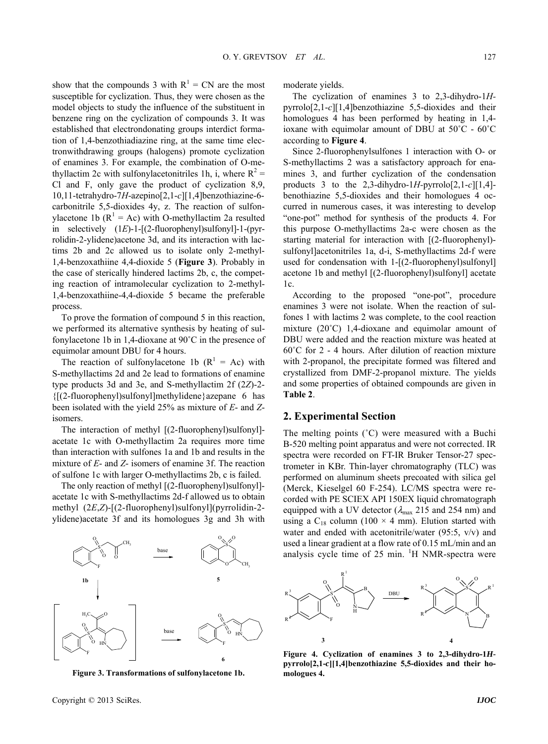show that the compounds 3 with  $R^1 = CN$  are the most susceptible for cyclization. Thus, they were chosen as the model objects to study the influence of the substituent in benzene ring on the cyclization of compounds 3. It was established that electrondonating groups interdict formation of 1,4-benzothiadiazine ring, at the same time electronwithdrawing groups (halogens) promote cyclization of enamines 3. For example, the combination of О-methyllactim 2c with sulfonylacetonitriles 1h, i, where  $R^2 =$ Cl and F, only gave the product of cyclization 8,9, 10,11-tetrahydro-7*H*-azepino[2,1-*c*][1,4]benzothiazine-6 carbonitrile 5,5-dioxides 4y, z. The reaction of sulfonylacetone 1b ( $R^1$  = Ac) with O-methyllactim 2a resulted in selectively (1*E*)-1-[(2-fluorophenyl)sulfonyl]-1-(pyrrolidin-2-ylidene)acetone 3d, and its interaction with lactims 2b and 2c allowed us to isolate only 2-methyl-1,4-benzoxathiine 4,4-dioxide 5 (**Figure 3**). Probably in the case of sterically hindered lactims 2b, c, the competing reaction of intramolecular cyclization to 2-methyl-1,4-benzoxathiine-4,4-dioxide 5 became the preferable process.

To prove the formation of compound 5 in this reaction, we performed its alternative synthesis by heating of sulfonylacetone 1b in 1,4-dioxane at 90˚C in the presence of equimolar amount DBU for 4 hours.

The reaction of sulfonylacetone 1b  $(R^1 = Ac)$  with S-methyllactims 2d and 2e lead to formations of enamine type products 3d and 3e, and S-methyllactim 2f (2*Z*)-2- {[(2-fluorophenyl)sulfonyl]methylidene}azepane 6 has been isolated with the yield 25% as mixture of *E*- and *Z*isomers.

The interaction of methyl [(2-fluorophenyl)sulfonyl]acetate 1с with O-methyllactim 2a requires more time than interaction with sulfones 1a and 1b and results in the mixture of *E*- and *Z*- isomers of enamine 3f. The reaction of sulfone 1с with larger O-methyllactims 2b, c is failed.

The only reaction of methyl [(2-fluorophenyl)sulfonyl] acetate 1с with S-methyllactims 2d-f allowed us to obtain methyl (2*E*,*Z*)-[(2-fluorophenyl)sulfonyl](pyrrolidin-2 ylidene)acetate 3f and its homologues 3g and 3h with



**Figure 3. Transformations of sulfonylacetone 1b.**

moderate yields.

The cyclization of enamines 3 to 2,3-dihydro-1*H*pyrrolo[2,1-*c*][1,4]benzothiazine 5,5-dioxides and their homologues 4 has been performed by heating in 1,4 ioxane with equimolar amount of DBU at 50˚C - 60˚C according to **Figure 4**.

Since 2-fluorophenylsulfones 1 interaction with О- or S-methyllactims 2 was a satisfactory approach for enamines 3, and further cyclization of the condensation products 3 to the 2,3-dihydro-1*H-*pyrrolo[2,1-*c*][1,4] benothiazine 5,5-dioxides and their homologues 4 occurred in numerous cases, it was interesting to develop "one-pot" method for synthesis of the products 4. For this purpose O-methyllactims 2a-c were chosen as the starting material for interaction with [(2-fluorophenyl) sulfonyl]acetonitriles 1a, d-i, S-methyllactims 2d-f were used for condensation with 1-[(2-fluorophenyl)sulfonyl] acetone 1b and methyl [(2-fluorophenyl)sulfonyl] acetate 1c.

According to the proposed "one-pot", procedure enamines 3 were not isolate. When the reaction of sulfones 1 with lactims 2 was complete, to the cool reaction mixture (20˚C) 1,4-dioxane and equimolar amount of DBU were added and the reaction mixture was heated at 60˚C for 2 - 4 hours. After dilution of reaction mixture with 2-propanol, the precipitate formed was filtered and crystallized from DMF-2-propanol mixture. The yields and some properties of obtained compounds are given in **Table 2**.

#### **2. Experimental Section**

The melting points (°C) were measured with a Buchi В-520 melting point apparatus and were not corrected. IR spectra were recorded on FT-IR Bruker Tensor-27 spectrometer in KBr. Thin-layer chromatography (TLC) was performed on aluminum sheets precoated with silica gel (Merck, Kieselgel 60 F-254). LC/MS spectra were recorded with PE SCIEX API 150EX liquid chromatograph equipped with a UV detector ( $\lambda_{\text{max}}$  215 and 254 nm) and using a  $C_{18}$  column (100  $\times$  4 mm). Elution started with water and ended with acetonitrile/water (95:5, v/v) and used a linear gradient at a flow rate of 0.15 mL/min and an analysis cycle time of  $25$  min. <sup>1</sup>H NMR-spectra were



**Figure 4. Cyclization of enamines 3 to 2,3-dihydro-1***H***pyrrolo[2,1-***c***][1,4]benzothiazine 5,5-dioxides and their homologues 4.**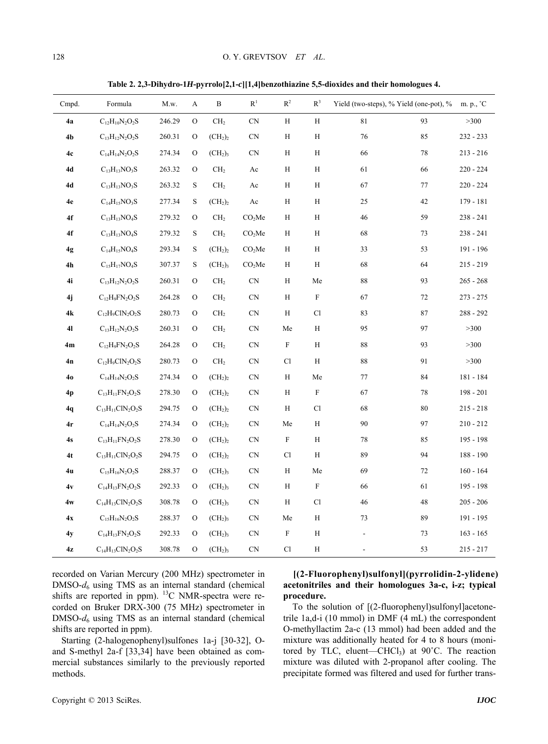**Table 2. 2,3-Dihydro-1***H***-pyrrolo[2,1-***c***][1,4]benzothiazine 5,5-dioxides and their homologues 4.** 

| Cmpd.          | Formula                     | M.w.   | A             | B                               | $\mathbf{R}^1$         | $\mathbb{R}^2$             | $R^3$                      | Yield (two-steps), % Yield (one-pot), % |        | m. p., °C   |
|----------------|-----------------------------|--------|---------------|---------------------------------|------------------------|----------------------------|----------------------------|-----------------------------------------|--------|-------------|
| 4a             | $C_{12}H_{10}N_2O_2S$       | 246.29 | O             | CH <sub>2</sub>                 | $\mbox{CN}$            | H                          | H                          | 81                                      | 93     | $>300$      |
| 4 <sub>b</sub> | $C_{13}H_{12}N_2O_2S$       | 260.31 | $\mathcal{O}$ | (CH <sub>2</sub> ) <sub>2</sub> | $\mbox{CN}$            | $\, {\rm H}$               | $\, {\rm H}$               | 76                                      | 85     | 232 - 233   |
| 4c             | $C_{14}H_{14}N_2O_2S$       | 274.34 | $\rm _O$      | (CH <sub>2</sub> ) <sub>3</sub> | $\mbox{CN}$            | H                          | H                          | 66                                      | 78     | $213 - 216$ |
| 4d             | $C_{13}H_{13}NO_3S$         | 263.32 | O             | CH <sub>2</sub>                 | Ac                     | $\, {\rm H}$               | H                          | 61                                      | 66     | $220 - 224$ |
| 4d             | $C_{13}H_{13}NO_3S$         | 263.32 | $\mathbf S$   | CH <sub>2</sub>                 | Ac                     | $\, {\rm H}$               | H                          | 67                                      | 77     | $220 - 224$ |
| 4e             | $C_{14}H_{15}NO_3S$         | 277.34 | $\mathbf S$   | (CH <sub>2</sub> ) <sub>2</sub> | $\mathbf{A}\mathbf{c}$ | $\, {\rm H}$               | $\mathbf H$                | 25                                      | 42     | 179 - 181   |
| 4f             | $C_{13}H_{13}NO_4S$         | 279.32 | $\rm{O}$      | CH <sub>2</sub>                 | CO <sub>2</sub> Me     | H                          | H                          | 46                                      | 59     | $238 - 241$ |
| ${\bf 4f}$     | $\rm C_{13}H_{13}NO_4S$     | 279.32 | ${\bf S}$     | CH <sub>2</sub>                 | CO <sub>2</sub> Me     | $\rm H$                    | H                          | 68                                      | 73     | 238 - 241   |
| 4g             | $C_{14}H_{15}NO_4S$         | 293.34 | S             | (CH <sub>2</sub> ) <sub>2</sub> | CO <sub>2</sub> Me     | H                          | H                          | 33                                      | 53     | 191 - 196   |
| 4h             | $C_{15}H_{17}NO_4S$         | 307.37 | ${\bf S}$     | (CH <sub>2</sub> ) <sub>3</sub> | CO <sub>2</sub> Me     | Η                          | $\, {\rm H}$               | 68                                      | 64     | $215 - 219$ |
| 4i             | $\rm C_{13}H_{12}N_2O_2S$   | 260.31 | O             | CH <sub>2</sub>                 | $\mbox{CN}$            | H                          | Me                         | 88                                      | 93     | $265 - 268$ |
| 4j             | $C_{12}H_9FN_2O_2S$         | 264.28 | O             | CH <sub>2</sub>                 | CN                     | $\mathbf H$                | $\mathbf F$                | 67                                      | 72     | $273 - 275$ |
| 4k             | $C_{12}H_9C1N_2O_2S$        | 280.73 | O             | CH <sub>2</sub>                 | $\mbox{CN}$            | H                          | Cl                         | 83                                      | $87\,$ | $288 - 292$ |
| 41             | $C_{13}H_{12}N_2O_2S$       | 260.31 | O             | CH <sub>2</sub>                 | <b>CN</b>              | Me                         | H                          | 95                                      | 97     | >300        |
| 4m             | $\rm C_{12}H_9FN_2O_2S$     | 264.28 | $\rm{O}$      | CH <sub>2</sub>                 | $\mbox{CN}$            | $\boldsymbol{\mathrm{F}}$  | H                          | $\bf 88$                                | 93     | $>300$      |
| 4n             | $C_{12}H_9ClN_2O_2S$        | 280.73 | O             | CH <sub>2</sub>                 | $\mbox{CN}$            | $\mathop{\rm Cl}\nolimits$ | H                          | 88                                      | 91     | >300        |
| 40             | $C_{14}H_{14}N_2O_2S$       | 274.34 | $\rm{O}$      | (CH <sub>2</sub> ) <sub>2</sub> | $\mbox{CN}$            | Η                          | Me                         | $77\,$                                  | 84     | 181 - 184   |
| 4p             | $C_{13}H_{11}FN_2O_2S$      | 278.30 | $\rm{O}$      | (CH <sub>2</sub> ) <sub>2</sub> | <b>CN</b>              | H                          | $\mathbf F$                | 67                                      | $78\,$ | $198 - 201$ |
| 4q             | $C_{13}H_{11}CIN_2O_2S$     | 294.75 | $\rm{O}$      | (CH <sub>2</sub> ) <sub>2</sub> | $\mbox{CN}$            | $\mathbf H$                | $\mathop{\rm Cl}\nolimits$ | 68                                      | $80\,$ | $215 - 218$ |
| 4r             | $C_{14}H_{14}N_2O_2S$       | 274.34 | $\mathcal{O}$ | (CH <sub>2</sub> ) <sub>2</sub> | <b>CN</b>              | Me                         | H                          | 90                                      | 97     | $210 - 212$ |
| 4s             | $C_{13}H_{11}FN_2O_2S$      | 278.30 | $\rm{O}$      | (CH <sub>2</sub> ) <sub>2</sub> | <b>CN</b>              | F                          | H                          | 78                                      | 85     | 195 - 198   |
| 4t             | $\rm C_{13}H_{11}CIN_2O_2S$ | 294.75 | $\rm{O}$      | (CH <sub>2</sub> ) <sub>2</sub> | $\mbox{CN}$            | $\mathop{\rm Cl}\nolimits$ | $\boldsymbol{\mathrm{H}}$  | 89                                      | 94     | 188 - 190   |
| 4u             | $C_{15}H_{16}N_2O_2S$       | 288.37 | $\mathcal{O}$ | (CH <sub>2</sub> ) <sub>3</sub> | $\mbox{CN}$            | $\mathbf H$                | Me                         | 69                                      | 72     | $160 - 164$ |
| 4v             | $C_{14}H_{13}FN_2O_2S$      | 292.33 | O             | (CH <sub>2</sub> ) <sub>3</sub> | $\mbox{CN}$            | $\, {\rm H}$               | $\mathbf F$                | 66                                      | 61     | 195 - 198   |
| 4w             | $C_{14}H_{13}CIN_2O_2S$     | 308.78 | $\rm ^O$      | (CH <sub>2</sub> ) <sub>3</sub> | <b>CN</b>              | Η                          | Cl                         | 46                                      | $48\,$ | $205 - 206$ |
| 4x             | $C_{15}H_{16}N_2O_2S$       | 288.37 | O             | (CH <sub>2</sub> ) <sub>3</sub> | $\mbox{CN}$            | Me                         | H                          | 73                                      | 89     | 191 - 195   |
| 4y             | $C_{14}H_{13}FN_2O_2S$      | 292.33 | $\mathcal{O}$ | (CH <sub>2</sub> ) <sub>3</sub> | <b>CN</b>              | $\boldsymbol{\mathrm{F}}$  | H                          | $\overline{a}$                          | 73     | $163 - 165$ |
| 4z             | $\rm C_{14}H_{13}CIN_2O_2S$ | 308.78 | O             | (CH <sub>2</sub> ) <sub>3</sub> | CN                     | Cl                         | H                          | $\overline{a}$                          | 53     | 215 - 217   |

recorded on Varian Mercury (200 MHz) spectrometer in  $DMSO-d<sub>6</sub>$  using TMS as an internal standard (chemical shifts are reported in ppm). <sup>13</sup>C NMR-spectra were recorded on Bruker DRX-300 (75 MHz) spectrometer in DMSO-*d*6 using TMS as an internal standard (chemical shifts are reported in ppm).

Starting (2-halogenophenyl)sulfones 1a-j [30-32], Oand S-methyl 2a-f [33,34] have been obtained as commercial substances similarly to the previously reported methods.

**[(2-Fluorophenyl)sulfonyl](pyrrolidin-2-ylidene) acetonitriles and their homologues 3a-c, i-z; typical procedure.** 

To the solution of [(2-fluorophenyl)sulfonyl]acetonetrile 1а,d-i (10 mmol) in DMF (4 mL) the correspondent O-methyllactim 2a-c (13 mmol) had been added and the mixture was additionally heated for 4 to 8 hours (monitored by TLC, eluent—CHCl<sub>3</sub>) at  $90^{\circ}$ C. The reaction mixture was diluted with 2-propanol after cooling. The precipitate formed was filtered and used for further trans-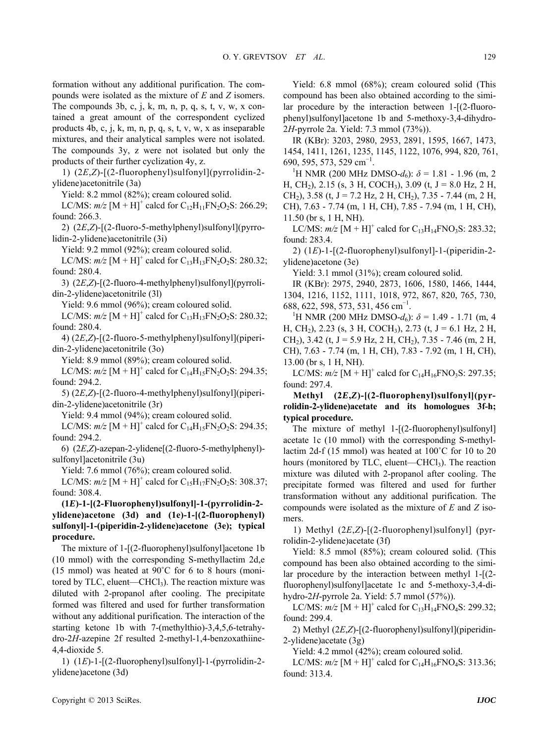formation without any additional purification. The compounds were isolated as the mixture of *E* and *Z* isomers. The compounds 3b, c, j, k, m, n, p, q, s, t, v, w, x contained a great amount of the correspondent cyclized products 4b, c, j, k, m, n, p, q, s, t, v, w, x as inseparable mixtures, and their analytical samples were not isolated. The compounds 3y, z were not isolated but only the products of their further cyclization 4y, z.

1) (2*E*,*Z*)-[(2-fluorophenyl)sulfonyl](pyrrolidin-2 ylidene)acetonitrile (3a)

Yield: 8.2 mmol (82%); cream coloured solid.

LC/MS:  $m/z$  [M + H]<sup>+</sup> calcd for C<sub>12</sub>H<sub>11</sub>FN<sub>2</sub>O<sub>2</sub>S: 266.29; found: 266.3.

2) (2*E*,*Z*)-[(2-fluoro-5-methylphenyl)sulfonyl](pyrrolidin-2-ylidene)acetonitrile (3i)

Yield: 9.2 mmol (92%); cream coloured solid.

LC/MS:  $m/z$  [M + H]<sup>+</sup> calcd for C<sub>13</sub>H<sub>13</sub>FN<sub>2</sub>O<sub>2</sub>S: 280.32; found: 280.4.

3) (2*E*,*Z*)-[(2-fluoro-4-methylphenyl)sulfonyl](pyrrolidin-2-ylidene)acetonitrile (3l)

Yield: 9.6 mmol (96%); cream coloured solid.

LC/MS:  $m/z$  [M + H]<sup>+</sup> calcd for C<sub>13</sub>H<sub>13</sub>FN<sub>2</sub>O<sub>2</sub>S: 280.32; found: 280.4.

4) (2*E*,*Z*)-[(2-fluoro-5-methylphenyl)sulfonyl](piperidin-2-ylidene)acetonitrile (3o)

Yield: 8.9 mmol (89%); cream coloured solid.

LC/MS:  $m/z$  [M + H]<sup>+</sup> calcd for C<sub>14</sub>H<sub>15</sub>FN<sub>2</sub>O<sub>2</sub>S: 294.35; found: 294.2.

5) (2*E*,*Z*)-[(2-fluoro-4-methylphenyl)sulfonyl](piperidin-2-ylidene)acetonitrile (3r)

Yield: 9.4 mmol (94%); cream coloured solid.

LC/MS:  $m/z$  [M + H]<sup>+</sup> calcd for C<sub>14</sub>H<sub>15</sub>FN<sub>2</sub>O<sub>2</sub>S: 294.35; found: 294.2.

6) (2*E*,*Z*)-azepan-2-ylidene[(2-fluoro-5-methylphenyl) sulfonyl]acetonitrile (3u)

Yield: 7.6 mmol (76%); cream coloured solid.

LC/MS:  $m/z$  [M + H]<sup>+</sup> calcd for C<sub>15</sub>H<sub>17</sub>FN<sub>2</sub>O<sub>2</sub>S: 308.37; found: 308.4.

# **(1***E***)-1-[(2-Fluorophenyl)sulfonyl]-1-(pyrrolidin-2 ylidene)acetone (3d) and (1e)-1-[(2-fluorophenyl) sulfonyl]-1-(piperidin-2-ylidene)acetone (3e); typical procedure.**

The mixture of 1-[(2-fluorophenyl)sulfonyl]acetone 1b (10 mmol) with the corresponding S-methyllactim 2d,e (15 mmol) was heated at 90˚C for 6 to 8 hours (monitored by TLC, eluent—CHCl $_3$ ). The reaction mixture was diluted with 2-propanol after cooling. The precipitate formed was filtered and used for further transformation without any additional purification. The interaction of the starting ketone 1b with 7-(methylthio)-3,4,5,6-tetrahydro-2*H-*azepine 2f resulted 2-methyl-1,4-benzoxathiine-4,4-dioxide 5.

1) (1*E*)-1-[(2-fluorophenyl)sulfonyl]-1-(pyrrolidin-2 ylidene)acetone (3d)

Yield: 6.8 mmol (68%); cream coloured solid (This compound has been also obtained according to the similar procedure by the interaction between 1-[(2-fluorophenyl)sulfonyl]acetone 1b and 5-methoxy-3,4-dihydro-2*H*-pyrrole 2a. Yield: 7.3 mmol (73%)).

IR (KBr): 3203, 2980, 2953, 2891, 1595, 1667, 1473, 1454, 1411, 1261, 1235, 1145, 1122, 1076, 994, 820, 761, 690, 595, 573, 529 cm<sup>-1</sup>.<br><sup>1</sup>H NMP (200 MHz D

<sup>1</sup>H NMR (200 MHz DMSO- $d_6$ ):  $\delta$  = 1.81 - 1.96 (m, 2 H, CH<sub>2</sub>), 2.15 (s, 3 H, COCH<sub>3</sub>), 3.09 (t, J = 8.0 Hz, 2 H, CH<sub>2</sub>), 3.58 (t, J = 7.2 Hz, 2 H, CH<sub>2</sub>), 7.35 - 7.44 (m, 2 H, CH), 7.63 - 7.74 (m, 1 H, CH), 7.85 - 7.94 (m, 1 H, CH), 11.50 (br s, 1 H, NH).

LC/MS:  $m/z$  [M + H]<sup>+</sup> calcd for C<sub>13</sub>H<sub>14</sub>FNO<sub>3</sub>S: 283.32; found: 283.4.

2) (1*E*)-1-[(2-fluorophenyl)sulfonyl]-1-(piperidin-2 ylidene)acetone (3e)

Yield: 3.1 mmol (31%); cream coloured solid.

IR (KBr): 2975, 2940, 2873, 1606, 1580, 1466, 1444, 1304, 1216, 1152, 1111, 1018, 972, 867, 820, 765, 730, 688, 622, 598, 573, 531, 456 cm<sup>-1</sup>.<br><sup>1</sup>H NMP (200 MHz DMSO d):

<sup>1</sup>H NMR (200 MHz DMSO- $d_6$ ):  $\delta$  = 1.49 - 1.71 (m, 4 H, CH<sub>2</sub>), 2.23 (s, 3 H, COCH<sub>3</sub>), 2.73 (t, J = 6.1 Hz, 2 H, CH<sub>2</sub>), 3.42 (t, J = 5.9 Hz, 2 H, CH<sub>2</sub>), 7.35 - 7.46 (m, 2 H, CH), 7.63 - 7.74 (m, 1 H, CH), 7.83 - 7.92 (m, 1 H, CH), 13.00 (br s, 1 H, NH).

LC/MS:  $m/z$  [M + H]<sup>+</sup> calcd for C<sub>14</sub>H<sub>16</sub>FNO<sub>3</sub>S: 297.35; found: 297.4.

## **Methyl (2***E***,***Z***)-[(2-fluorophenyl)sulfonyl](pyrrolidin-2-ylidene)acetate and its homologues 3f-h; typical procedure.**

The mixture of methyl 1-[(2-fluorophenyl)sulfonyl] acetate 1c (10 mmol) with the corresponding S-methyllactim 2d-f (15 mmol) was heated at 100˚C for 10 to 20 hours (monitored by TLC, eluent—CHCl<sub>3</sub>). The reaction mixture was diluted with 2-propanol after cooling. The precipitate formed was filtered and used for further transformation without any additional purification. The compounds were isolated as the mixture of *E* and *Z* isomers.

1) Methyl (2*E*,*Z*)-[(2-fluorophenyl)sulfonyl] (pyrrolidin-2-ylidene)acetate (3f)

Yield: 8.5 mmol (85%); cream coloured solid. (This compound has been also obtained according to the similar procedure by the interaction between methyl 1-[(2 fluorophenyl)sulfonyl]acetate 1c and 5-methoxy-3,4-dihydro-2*H*-pyrrole 2a. Yield: 5.7 mmol (57%)).

LC/MS:  $m/z$  [M + H]<sup>+</sup> calcd for C<sub>13</sub>H<sub>14</sub>FNO<sub>4</sub>S: 299.32; found: 299.4.

2) Methyl (2*E*,*Z*)-[(2-fluorophenyl)sulfonyl](piperidin-2-ylidene)acetate (3g)

Yield: 4.2 mmol (42%); cream coloured solid.

LC/MS:  $m/z$  [M + H]<sup>+</sup> calcd for C<sub>14</sub>H<sub>16</sub>FNO<sub>4</sub>S: 313.36; found: 313.4.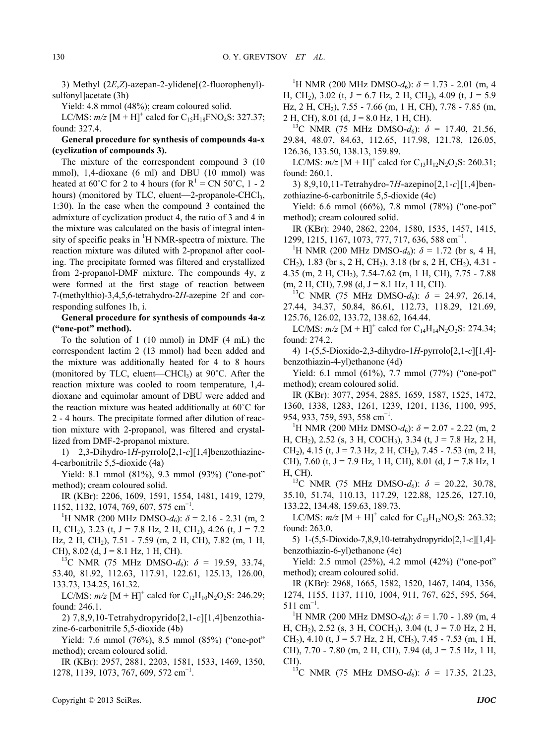3) Methyl (2*E*,*Z*)-azepan-2-ylidene[(2-fluorophenyl) sulfonyl]acetate (3h)

Yield: 4.8 mmol (48%); cream coloured solid.

LC/MS:  $m/z$  [M + H]<sup>+</sup> calcd for C<sub>15</sub>H<sub>18</sub>FNO<sub>4</sub>S: 327.37; found: 327.4.

**General procedure for synthesis of compounds 4a-x (cyclization of compounds 3).** 

The mixture of the correspondent compound 3 (10 mmol), 1,4-dioxane (6 ml) and DBU (10 mmol) was heated at 60°C for 2 to 4 hours (for  $R^1 = CN 50$ °C, 1 - 2 hours) (monitored by TLC, eluent—2-propanole-CHCl<sub>3</sub>, 1:30). In the case when the compound 3 contained the admixture of cyclization product 4, the ratio of 3 and 4 in the mixture was calculated on the basis of integral intensity of specific peaks in <sup>1</sup>H NMR-spectra of mixture. The reaction mixture was diluted with 2-propanol after cooling. The precipitate formed was filtered and crystallized from 2-propanol-DMF mixture. The compounds 4y, z were formed at the first stage of reaction between 7-(methylthio)-3,4,5,6-tetrahydro-2*H-*azepine 2f and corresponding sulfones 1h, i.

**General procedure for synthesis of compounds 4a-z ("one-pot" method).** 

To the solution of 1 (10 mmol) in DMF (4 mL) the correspondent lactim 2 (13 mmol) had been added and the mixture was additionally heated for 4 to 8 hours (monitored by TLC, eluent—CHCl<sub>3</sub>) at  $90^{\circ}$ C. After the reaction mixture was cooled to room temperature, 1,4 dioxane and equimolar amount of DBU were added and the reaction mixture was heated additionally at 60˚C for 2 - 4 hours. The precipitate formed after dilution of reaction mixture with 2-propanol, was filtered and crystallized from DMF-2-propanol mixture.

1) 2,3-Dihydro-1*H*-pyrrolo[2,1-*c*][1,4]benzothiazine-4-carbonitrile 5,5-dioxide (4a)

Yield: 8.1 mmol (81%), 9.3 mmol (93%) ("one-pot" method); cream coloured solid.

IR (KBr): 2206, 1609, 1591, 1554, 1481, 1419, 1279, 1152, 1132, 1074, 769, 607, 575 cm<sup>-1</sup>.<br><sup>1</sup>H NMP (200 MHz DMSO d):  $\delta$  -

<sup>1</sup>H NMR (200 MHz DMSO- $d_6$ ):  $\delta$  = 2.16 - 2.31 (m, 2) H, CH<sub>2</sub>), 3.23 (t, J = 7.8 Hz, 2 H, CH<sub>2</sub>), 4.26 (t, J = 7.2 Hz, 2 H, CH2), 7.51 - 7.59 (m, 2 H, CH), 7.82 (m, 1 H,

CH), 8.02 (d, J = 8.1 Hz, 1 H, CH).<br><sup>13</sup>C NMR (75 MHz DMSO-*d*<sub>6</sub>):  $\delta$  = 19.59, 33.74, 53.40, 81.92, 112.63, 117.91, 122.61, 125.13, 126.00, 133.73, 134.25, 161.32.

LC/MS:  $m/z$  [M + H]<sup>+</sup> calcd for C<sub>12</sub>H<sub>10</sub>N<sub>2</sub>O<sub>2</sub>S: 246.29; found: 246.1.

2) 7,8,9,10-Tetrahydropyrido[2,1-*c*][1,4]benzothiazine-6-carbonitrile 5,5-dioxide (4b)

Yield: 7.6 mmol (76%), 8.5 mmol (85%) ("one-pot" method); cream coloured solid.

IR (KBr): 2957, 2881, 2203, 1581, 1533, 1469, 1350, 1278, 1139, 1073, 767, 609, 572 cm<sup>-1</sup>.

<sup>1</sup>H NMR (200 MHz DMSO- $d_6$ ):  $\delta$  = 1.73 - 2.01 (m, 4 H, CH<sub>2</sub>), 3.02 (t, J = 6.7 Hz, 2 H, CH<sub>2</sub>), 4.09 (t, J = 5.9 Hz, 2 H, CH2), 7.55 - 7.66 (m, 1 H, CH), 7.78 - 7.85 (m,

2 H, CH), 8.01 (d, J = 8.0 Hz, 1 H, CH).<br><sup>13</sup>C NMR (75 MHz DMSO-*d*<sub>6</sub>):  $\delta$  = 17.40, 21.56, 29.84, 48.07, 84.63, 112.65, 117.98, 121.78, 126.05, 126.36, 133.50, 138.13, 159.89.

LC/MS:  $m/z$  [M + H]<sup>+</sup> calcd for C<sub>13</sub>H<sub>12</sub>N<sub>2</sub>O<sub>2</sub>S: 260.31; found: 260.1.

3) 8,9,10,11-Tetrahydro-7*H*-azepino[2,1-*c*][1,4]benzothiazine-6-carbonitrile 5,5-dioxide (4c)

Yield: 6.6 mmol (66%), 7.8 mmol (78%) ("one-pot" method); cream coloured solid.

IR (KBr): 2940, 2862, 2204, 1580, 1535, 1457, 1415, 1299, 1215, 1167, 1073, 777, 717, 636, 588 cm<sup>-1</sup>.<br><sup>1</sup>H NMB (200 MHz DMSO d):  $\delta = 1.72$  (br)

<sup>1</sup>H NMR (200 MHz DMSO- $d_6$ ):  $\delta$  = 1.72 (br s, 4 H, CH<sub>2</sub>), 1.83 (br s, 2 H, CH<sub>2</sub>), 3.18 (br s, 2 H, CH<sub>2</sub>), 4.31 -4.35 (m, 2 H, CH2), 7.54-7.62 (m, 1 H, CH), 7.75 - 7.88 (m, 2 H, CH), 7.98 (d, J = 8.1 Hz, 1 H, CH). 13C NMR (75 MHz DMSO-*d*6): *δ* = 24.97, 26.14,

27.44, 34.37, 50.84, 86.61, 112.73, 118.29, 121.69, 125.76, 126.02, 133.72, 138.62, 164.44.

LC/MS:  $m/z$  [M + H]<sup>+</sup> calcd for C<sub>14</sub>H<sub>14</sub>N<sub>2</sub>O<sub>2</sub>S: 274.34; found: 274.2.

4) 1-(5,5-Dioxido-2,3-dihydro-1*H*-pyrrolo[2,1-*c*][1,4] benzothiazin-4-yl)ethanone (4d)

Yield: 6.1 mmol (61%), 7.7 mmol (77%) ("one-pot" method); cream coloured solid.

IR (KBr): 3077, 2954, 2885, 1659, 1587, 1525, 1472, 1360, 1338, 1283, 1261, 1239, 1201, 1136, 1100, 995, 954, 933, 759, 593, 558 cm<sup>-1</sup>.<br><sup>1</sup>H NMP (200 MHz DMSC)

<sup>1</sup>H NMR (200 MHz DMSO- $d_6$ ):  $\delta$  = 2.07 - 2.22 (m, 2 H, CH<sub>2</sub>), 2.52 (s, 3 H, COCH<sub>3</sub>), 3.34 (t, J = 7.8 Hz, 2 H, CH<sub>2</sub>), 4.15 (t, J = 7.3 Hz, 2 H, CH<sub>2</sub>), 7.45 - 7.53 (m, 2 H, CH), 7.60 (t,  $J = 7.9$  Hz, 1 H, CH), 8.01 (d,  $J = 7.8$  Hz, 1 H, CH).<br><sup>13</sup>C NMR (75 MHz DMSO-*d*<sub>6</sub>):  $\delta$  = 20.22, 30.78,

35.10, 51.74, 110.13, 117.29, 122.88, 125.26, 127.10, 133.22, 134.48, 159.63, 189.73.

LC/MS:  $m/z$  [M + H]<sup>+</sup> calcd for C<sub>13</sub>H<sub>13</sub>NO<sub>3</sub>S: 263.32; found: 263.0.

5) 1-(5,5-Dioxido-7,8,9,10-tetrahydropyrido[2,1-*c*][1,4] benzothiazin-6-yl)ethanone (4e)

Yield: 2.5 mmol (25%), 4.2 mmol (42%) ("one-pot" method); cream coloured solid.

IR (KBr): 2968, 1665, 1582, 1520, 1467, 1404, 1356, 1274, 1155, 1137, 1110, 1004, 911, 767, 625, 595, 564, 511 cm<sup>-1</sup>.<br><sup>1</sup><sup>LI</sup>NM

<sup>1</sup>H NMR (200 MHz DMSO- $d_6$ ):  $\delta$  = 1.70 - 1.89 (m, 4 H, CH<sub>2</sub>), 2.52 (s, 3 H, COCH<sub>3</sub>), 3.04 (t, J = 7.0 Hz, 2 H, CH<sub>2</sub>), 4.10 (t, J = 5.7 Hz, 2 H, CH<sub>2</sub>), 7.45 - 7.53 (m, 1 H, CH), 7.70 - 7.80 (m, 2 H, CH), 7.94 (d, J = 7.5 Hz, 1 H,

CH).<br><sup>13</sup>C NMR (75 MHz DMSO-*d*<sub>6</sub>):  $\delta = 17.35, 21.23,$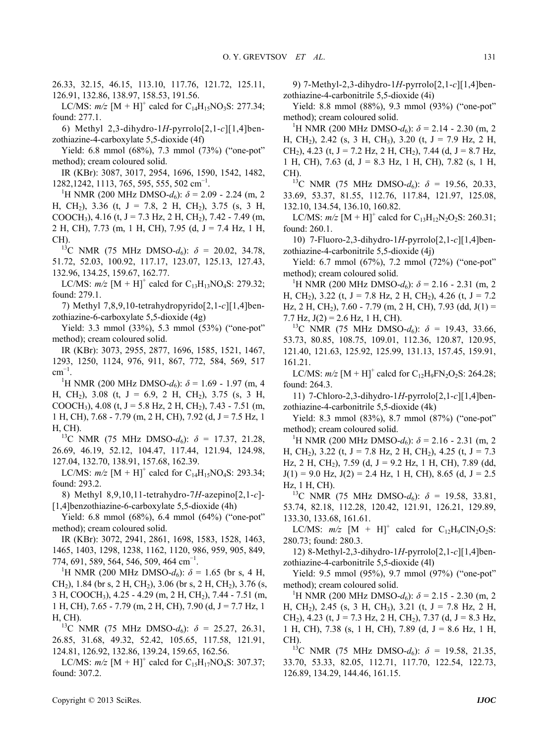LC/MS:  $m/z$  [M + H]<sup>+</sup> calcd for C<sub>14</sub>H<sub>15</sub>NO<sub>3</sub>S: 277.34; found: 277.1.

6) Methyl 2,3-dihydro-1*H*-pyrrolo[2,1-*c*][1,4]benzothiazine-4-carboxylate 5,5-dioxide (4f)

Yield: 6.8 mmol (68%), 7.3 mmol (73%) ("one-pot" method); cream coloured solid.

IR (KBr): 3087, 3017, 2954, 1696, 1590, 1542, 1482, 1282,1242, 1113, 765, 595, 555, 502 cm<sup>-1</sup>.<br><sup>1</sup>H NMB (200 MHz DMSO d):  $\delta = 2.0$ 

<sup>1</sup>H NMR (200 MHz DMSO- $d_6$ ):  $\delta$  = 2.09 - 2.24 (m, 2) H, CH<sub>2</sub>), 3.36 (t, J = 7.8, 2 H, CH<sub>2</sub>), 3.75 (s, 3 H, COOCH<sub>3</sub>), 4.16 (t, J = 7.3 Hz, 2 H, CH<sub>2</sub>), 7.42 - 7.49 (m, 2 H, CH), 7.73 (m, 1 H, CH), 7.95 (d, J = 7.4 Hz, 1 H,

CH).<br><sup>13</sup>C NMR (75 MHz DMSO- $d_6$ ):  $\delta$  = 20.02, 34.78, 51.72, 52.03, 100.92, 117.17, 123.07, 125.13, 127.43, 132.96, 134.25, 159.67, 162.77.

LC/MS:  $m/z$  [M + H]<sup>+</sup> calcd for C<sub>13</sub>H<sub>13</sub>NO<sub>4</sub>S: 279.32; found: 279.1.

7) Methyl 7,8,9,10-tetrahydropyrido[2,1-*c*][1,4]benzothiazine-6-carboxylate 5,5-dioxide (4g)

Yield: 3.3 mmol (33%), 5.3 mmol (53%) ("one-pot" method); cream coloured solid.

IR (KBr): 3073, 2955, 2877, 1696, 1585, 1521, 1467, 1293, 1250, 1124, 976, 911, 867, 772, 584, 569, 517  $\text{cm}^{-1}$ .<br> $\frac{1}{1}$ 

<sup>1</sup>H NMR (200 MHz DMSO- $d_6$ ):  $\delta$  = 1.69 - 1.97 (m, 4 H, CH<sub>2</sub>), 3.08 (t, J = 6.9, 2 H, CH<sub>2</sub>), 3.75 (s, 3 H, COOCH<sub>3</sub>), 4.08 (t, J = 5.8 Hz, 2 H, CH<sub>2</sub>), 7.43 - 7.51 (m, 1 H, CH), 7.68 - 7.79 (m, 2 H, CH), 7.92 (d, J = 7.5 Hz, 1 H, CH).<br><sup>13</sup>C NMR (75 MHz DMSO-*d*<sub>6</sub>):  $\delta = 17.37, 21.28$ ,

26.69, 46.19, 52.12, 104.47, 117.44, 121.94, 124.98, 127.04, 132.70, 138.91, 157.68, 162.39.

LC/MS:  $m/z$  [M + H]<sup>+</sup> calcd for C<sub>14</sub>H<sub>15</sub>NO<sub>4</sub>S: 293.34; found: 293.2.

8) Methyl 8,9,10,11-tetrahydro-7*H*-azepino[2,1-*c*]- [1,4]benzothiazine-6-carboxylate 5,5-dioxide (4h)

Yield: 6.8 mmol (68%), 6.4 mmol (64%) ("one-pot" method); cream coloured solid.

IR (KBr): 3072, 2941, 2861, 1698, 1583, 1528, 1463, 1465, 1403, 1298, 1238, 1162, 1120, 986, 959, 905, 849, 774, 691, 589, 564, 546, 509, 464 cm<sup>-1</sup>.<br><sup>1</sup>H NMP (200 MHz DMSO d):  $\delta$  –

<sup>1</sup>H NMR (200 MHz DMSO- $d_6$ ):  $\delta$  = 1.65 (br s, 4 H, CH<sub>2</sub>), 1.84 (br s, 2 H, CH<sub>2</sub>), 3.06 (br s, 2 H, CH<sub>2</sub>), 3.76 (s, 3 H, COOCH3), 4.25 - 4.29 (m, 2 H, CH2), 7.44 - 7.51 (m, 1 H, CH),  $7.65 - 7.79$  (m, 2 H, CH),  $7.90$  (d,  $J = 7.7$  Hz, 1

H, CH).<br><sup>13</sup>C NMR (75 MHz DMSO- $d_6$ ):  $\delta = 25.27, 26.31,$ 26.85, 31.68, 49.32, 52.42, 105.65, 117.58, 121.91, 124.81, 126.92, 132.86, 139.24, 159.65, 162.56.

LC/MS:  $m/z$  [M + H]<sup>+</sup> calcd for C<sub>15</sub>H<sub>17</sub>NO<sub>4</sub>S: 307.37; found: 307.2.

9) 7-Methyl-2,3-dihydro-1*H*-pyrrolo[2,1-*c*][1,4]benzothiazine-4-carbonitrile 5,5-dioxide (4i)

Yield: 8.8 mmol (88%), 9.3 mmol (93%) ("one-pot" method); cream coloured solid.

<sup>1</sup>H NMR (200 MHz DMSO- $d_6$ ):  $\delta$  = 2.14 - 2.30 (m, 2 H, CH<sub>2</sub>), 2.42 (s, 3 H, CH<sub>3</sub>), 3.20 (t, J = 7.9 Hz, 2 H, CH<sub>2</sub>), 4.23 (t, J = 7.2 Hz, 2 H, CH<sub>2</sub>), 7.44 (d, J = 8.7 Hz, 1 H, CH), 7.63 (d, J = 8.3 Hz, 1 H, CH), 7.82 (s, 1 H,

CH).<br><sup>13</sup>C NMR (75 MHz DMSO- $d_6$ ):  $\delta$  = 19.56, 20.33, 33.69, 53.37, 81.55, 112.76, 117.84, 121.97, 125.08, 132.10, 134.54, 136.10, 160.82.

LC/MS:  $m/z$  [M + H]<sup>+</sup> calcd for C<sub>13</sub>H<sub>12</sub>N<sub>2</sub>O<sub>2</sub>S: 260.31; found: 260.1.

10) 7-Fluoro-2,3-dihydro-1*H*-pyrrolo[2,1-*c*][1,4]benzothiazine-4-carbonitrile 5,5-dioxide (4j)

Yield: 6.7 mmol (67%), 7.2 mmol (72%) ("one-pot" method); cream coloured solid. 1

<sup>1</sup>H NMR (200 MHz DMSO- $d_6$ ):  $\delta$  = 2.16 - 2.31 (m, 2) H, CH<sub>2</sub>), 3.22 (t, J = 7.8 Hz, 2 H, CH<sub>2</sub>), 4.26 (t, J = 7.2 Hz, 2 H, CH<sub>2</sub>), 7.60 - 7.79 (m, 2 H, CH), 7.93 (dd, J(1) = 7.7 Hz,  $J(2) = 2.6$  Hz, 1 H, CH).<br><sup>13</sup>C NMR (75 MHz DMSO-*d*<sub>6</sub>):  $\delta = 19.43, 33.66$ ,

53.73, 80.85, 108.75, 109.01, 112.36, 120.87, 120.95, 121.40, 121.63, 125.92, 125.99, 131.13, 157.45, 159.91, 161.21.

LC/MS:  $m/z$  [M + H]<sup>+</sup> calcd for C<sub>12</sub>H<sub>9</sub>FN<sub>2</sub>O<sub>2</sub>S: 264.28; found: 264.3.

11) 7-Chloro-2,3-dihydro-1*H*-pyrrolo[2,1-*c*][1,4]benzothiazine-4-carbonitrile 5,5-dioxide (4k)

Yield: 8.3 mmol (83%), 8.7 mmol (87%) ("one-pot" method); cream coloured solid.

<sup>1</sup>H NMR (200 MHz DMSO- $d_6$ ):  $\delta$  = 2.16 - 2.31 (m, 2) H, CH<sub>2</sub>), 3.22 (t, J = 7.8 Hz, 2 H, CH<sub>2</sub>), 4.25 (t, J = 7.3 Hz, 2 H, CH<sub>2</sub>), 7.59 (d, J = 9.2 Hz, 1 H, CH), 7.89 (dd,  $J(1) = 9.0$  Hz,  $J(2) = 2.4$  Hz, 1 H, CH), 8.65 (d, J = 2.5)

Hz, 1 H, CH).<br><sup>13</sup>C NMR (75 MHz DMSO-*d*<sub>6</sub>): *δ* = 19.58, 33.81, 53.74, 82.18, 112.28, 120.42, 121.91, 126.21, 129.89, 133.30, 133.68, 161.61.

LC/MS:  $m/z$  [M + H]<sup>+</sup> calcd for C<sub>12</sub>H<sub>9</sub>ClN<sub>2</sub>O<sub>2</sub>S: 280.73; found: 280.3.

12) 8-Methyl-2,3-dihydro-1*H*-pyrrolo[2,1-*c*][1,4]benzothiazine-4-carbonitrile 5,5-dioxide (4l)

Yield: 9.5 mmol (95%), 9.7 mmol (97%) ("one-pot" method); cream coloured solid.

<sup>1</sup>H NMR (200 MHz DMSO- $d_6$ ):  $\delta$  = 2.15 - 2.30 (m, 2 H, CH<sub>2</sub>), 2.45 (s, 3 H, CH<sub>3</sub>), 3.21 (t, J = 7.8 Hz, 2 H, CH<sub>2</sub>), 4.23 (t, J = 7.3 Hz, 2 H, CH<sub>2</sub>), 7.37 (d, J = 8.3 Hz, 1 H, CH), 7.38 (s, 1 H, CH), 7.89 (d, J = 8.6 Hz, 1 H,

CH).<br><sup>13</sup>C NMR (75 MHz DMSO-*d*<sub>6</sub>):  $\delta$  = 19.58, 21.35, 33.70, 53.33, 82.05, 112.71, 117.70, 122.54, 122.73, 126.89, 134.29, 144.46, 161.15.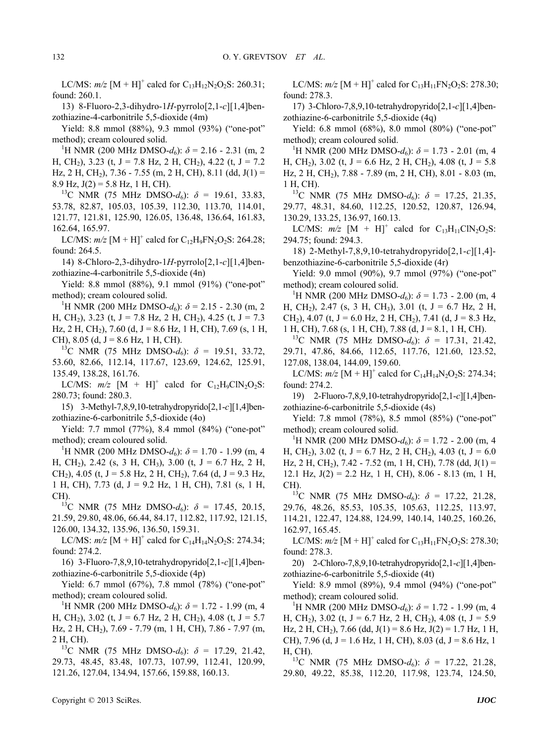LC/MS:  $m/z$  [M + H]<sup>+</sup> calcd for C<sub>13</sub>H<sub>12</sub>N<sub>2</sub>O<sub>2</sub>S: 260.31; found: 260.1.

13) 8-Fluoro-2,3-dihydro-1*H*-pyrrolo[2,1-*c*][1,4]benzothiazine-4-carbonitrile 5,5-dioxide (4m)

Yield: 8.8 mmol (88%), 9.3 mmol (93%) ("one-pot" method); cream coloured solid.

<sup>1</sup>H NMR (200 MHz DMSO- $d_6$ ):  $\delta$  = 2.16 - 2.31 (m, 2) H, CH<sub>2</sub>), 3.23 (t, J = 7.8 Hz, 2 H, CH<sub>2</sub>), 4.22 (t, J = 7.2 Hz, 2 H, CH<sub>2</sub>), 7.36 - 7.55 (m, 2 H, CH), 8.11 (dd, J(1) = 8.9 Hz, J(2) = 5.8 Hz, 1 H, CH).

<sup>13</sup>C NMR (75 MHz DMSO- $d_6$ ):  $\delta$  = 19.61, 33.83, 53.78, 82.87, 105.03, 105.39, 112.30, 113.70, 114.01, 121.77, 121.81, 125.90, 126.05, 136.48, 136.64, 161.83, 162.64, 165.97.

LC/MS:  $m/z$  [M + H]<sup>+</sup> calcd for C<sub>12</sub>H<sub>9</sub>FN<sub>2</sub>O<sub>2</sub>S: 264.28; found: 264.5.

14) 8-Chloro-2,3-dihydro-1*H*-pyrrolo[2,1-*c*][1,4]benzothiazine-4-carbonitrile 5,5-dioxide (4n)

Yield: 8.8 mmol (88%), 9.1 mmol (91%) ("one-pot" method); cream coloured solid.

<sup>1</sup>H NMR (200 MHz DMSO- $d_6$ ):  $\delta$  = 2.15 - 2.30 (m, 2) H, CH<sub>2</sub>), 3.23 (t, J = 7.8 Hz, 2 H, CH<sub>2</sub>), 4.25 (t, J = 7.3 Hz, 2 H, CH<sub>2</sub>), 7.60 (d, J = 8.6 Hz, 1 H, CH), 7.69 (s, 1 H, CH), 8.05 (d, J = 8.6 Hz, 1 H, CH).<br><sup>13</sup>C NMR (75 MHz DMSO-*d*<sub>6</sub>):  $\delta$  = 19.51, 33.72,

53.60, 82.66, 112.14, 117.67, 123.69, 124.62, 125.91, 135.49, 138.28, 161.76.

LC/MS:  $m/z$  [M + H]<sup>+</sup> calcd for C<sub>12</sub>H<sub>9</sub>ClN<sub>2</sub>O<sub>2</sub>S: 280.73; found: 280.3.

15) 3-Methyl-7,8,9,10-tetrahydropyrido[2,1-*c*][1,4]benzothiazine-6-carbonitrile 5,5-dioxide (4o)

Yield: 7.7 mmol (77%), 8.4 mmol (84%) ("one-pot" method); cream coloured solid.

<sup>1</sup>H NMR (200 MHz DMSO- $d_6$ ):  $\delta$  = 1.70 - 1.99 (m, 4 H, CH<sub>2</sub>), 2.42 (s, 3 H, CH<sub>3</sub>), 3.00 (t, J = 6.7 Hz, 2 H, CH<sub>2</sub>), 4.05 (t, J = 5.8 Hz, 2 H, CH<sub>2</sub>), 7.64 (d, J = 9.3 Hz, 1 H, CH), 7.73 (d, J = 9.2 Hz, 1 H, CH), 7.81 (s, 1 H,

CH).<br><sup>13</sup>C NMR (75 MHz DMSO- $d_6$ ):  $\delta = 17.45, 20.15,$ 21.59, 29.80, 48.06, 66.44, 84.17, 112.82, 117.92, 121.15, 126.00, 134.32, 135.96, 136.50, 159.31.

LC/MS:  $m/z$  [M + H]<sup>+</sup> calcd for C<sub>14</sub>H<sub>14</sub>N<sub>2</sub>O<sub>2</sub>S: 274.34; found: 274.2.

16) 3-Fluoro-7,8,9,10-tetrahydropyrido[2,1-*c*][1,4]benzothiazine-6-carbonitrile 5,5-dioxide (4p)

Yield: 6.7 mmol (67%), 7.8 mmol (78%) ("one-pot" method); cream coloured solid. 1

<sup>1</sup>H NMR (200 MHz DMSO- $d_6$ ):  $\delta$  = 1.72 - 1.99 (m, 4 H, CH<sub>2</sub>), 3.02 (t, J = 6.7 Hz, 2 H, CH<sub>2</sub>), 4.08 (t, J = 5.7 Hz, 2 H, CH2), 7.69 - 7.79 (m, 1 H, CH), 7.86 - 7.97 (m, 2 H, CH).<br><sup>13</sup>C NMR (75 MHz DMSO- $d_6$ ):  $\delta = 17.29, 21.42,$ 

29.73, 48.45, 83.48, 107.73, 107.99, 112.41, 120.99, 121.26, 127.04, 134.94, 157.66, 159.88, 160.13.

LC/MS:  $m/z$  [M + H]<sup>+</sup> calcd for C<sub>13</sub>H<sub>11</sub>FN<sub>2</sub>O<sub>2</sub>S: 278.30; found: 278.3.

17) 3-Chloro-7,8,9,10-tetrahydropyrido[2,1-*c*][1,4]benzothiazine-6-carbonitrile 5,5-dioxide (4q)

Yield: 6.8 mmol (68%), 8.0 mmol (80%) ("one-pot" method); cream coloured solid.

<sup>1</sup>H NMR (200 MHz DMSO- $d_6$ ):  $\delta$  = 1.73 - 2.01 (m, 4 H, CH<sub>2</sub>), 3.02 (t, J = 6.6 Hz, 2 H, CH<sub>2</sub>), 4.08 (t, J = 5.8) Hz, 2 H, CH<sub>2</sub>), 7.88 - 7.89 (m, 2 H, CH), 8.01 - 8.03 (m, 1 H, CH).<br><sup>13</sup>C NMR (75 MHz DMSO-*d*<sub>6</sub>): δ = 17.25, 21.35,

29.77, 48.31, 84.60, 112.25, 120.52, 120.87, 126.94, 130.29, 133.25, 136.97, 160.13.

LC/MS:  $m/z$  [M + H]<sup>+</sup> calcd for C<sub>13</sub>H<sub>11</sub>ClN<sub>2</sub>O<sub>2</sub>S: 294.75; found: 294.3.

18) 2-Methyl-7,8,9,10-tetrahydropyrido[2,1-*c*][1,4] benzothiazine-6-carbonitrile 5,5-dioxide (4r)

Yield: 9.0 mmol (90%), 9.7 mmol (97%) ("one-pot" method); cream coloured solid.

<sup>1</sup>H NMR (200 MHz DMSO- $d_6$ ):  $\delta$  = 1.73 - 2.00 (m, 4 H, CH<sub>2</sub>), 2.47 (s, 3 H, CH<sub>3</sub>), 3.01 (t, J = 6.7 Hz, 2 H, CH<sub>2</sub>), 4.07 (t, J = 6.0 Hz, 2 H, CH<sub>2</sub>), 7.41 (d, J = 8.3 Hz, 1 H, CH), 7.68 (s, 1 H, CH), 7.88 (d, J = 8.1, 1 H, CH).<br><sup>13</sup>C NMR (75 MHz DMSO-*d*<sub>6</sub>): *δ* = 17.31, 21.42,

29.71, 47.86, 84.66, 112.65, 117.76, 121.60, 123.52, 127.08, 138.04, 144.09, 159.60.

LC/MS:  $m/z$  [M + H]<sup>+</sup> calcd for C<sub>14</sub>H<sub>14</sub>N<sub>2</sub>O<sub>2</sub>S: 274.34; found: 274.2.

19) 2-Fluoro-7,8,9,10-tetrahydropyrido[2,1-*c*][1,4]benzothiazine-6-carbonitrile 5,5-dioxide (4s)

Yield: 7.8 mmol (78%), 8.5 mmol (85%) ("one-pot" method); cream coloured solid.

<sup>1</sup>H NMR (200 MHz DMSO- $d_6$ ):  $\delta$  = 1.72 - 2.00 (m, 4 H, CH<sub>2</sub>), 3.02 (t, J = 6.7 Hz, 2 H, CH<sub>2</sub>), 4.03 (t, J = 6.0 Hz, 2 H, CH<sub>2</sub>), 7.42 - 7.52 (m, 1 H, CH), 7.78 (dd, J(1) = 12.1 Hz,  $J(2) = 2.2$  Hz, 1 H, CH), 8.06 - 8.13 (m, 1 H, CH).<br><sup>13</sup>C NMR (75 MHz DMSO- $d_6$ ):  $\delta = 17.22, 21.28,$ 

29.76, 48.26, 85.53, 105.35, 105.63, 112.25, 113.97, 114.21, 122.47, 124.88, 124.99, 140.14, 140.25, 160.26, 162.97, 165.45.

LC/MS:  $m/z$  [M + H]<sup>+</sup> calcd for C<sub>13</sub>H<sub>11</sub>FN<sub>2</sub>O<sub>2</sub>S: 278.30; found: 278.3.

20) 2-Chloro-7,8,9,10-tetrahydropyrido[2,1-*c*][1,4]benzothiazine-6-carbonitrile 5,5-dioxide (4t)

Yield: 8.9 mmol (89%), 9.4 mmol (94%) ("one-pot" method); cream coloured solid.

<sup>1</sup>H NMR (200 MHz DMSO- $d_6$ ):  $\delta$  = 1.72 - 1.99 (m, 4 H, CH<sub>2</sub>), 3.02 (t, J = 6.7 Hz, 2 H, CH<sub>2</sub>), 4.08 (t, J = 5.9 Hz, 2 H, CH<sub>2</sub>), 7.66 (dd, J(1) = 8.6 Hz, J(2) = 1.7 Hz, 1 H, CH), 7.96 (d, J = 1.6 Hz, 1 H, CH), 8.03 (d, J = 8.6 Hz, 1

H, CH).<br><sup>13</sup>C NMR (75 MHz DMSO-*d*<sub>6</sub>):  $\delta = 17.22, 21.28$ , 29.80, 49.22, 85.38, 112.20, 117.98, 123.74, 124.50,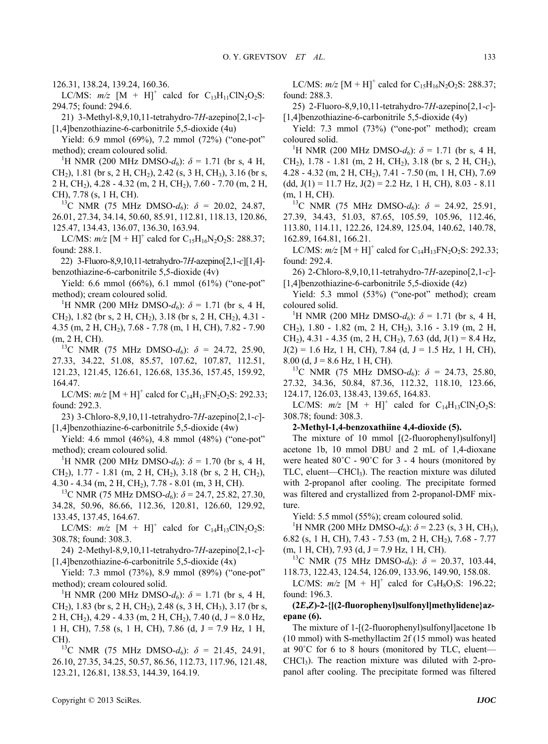126.31, 138.24, 139.24, 160.36.

LC/MS:  $m/z$  [M + H]<sup>+</sup> calcd for C<sub>13</sub>H<sub>11</sub>ClN<sub>2</sub>O<sub>2</sub>S: 294.75; found: 294.6.

21) 3-Methyl-8,9,10,11-tetrahydro-7*H*-azepino[2,1-*c*]- [1,4]benzothiazine-6-carbonitrile 5,5-dioxide (4u)

Yield: 6.9 mmol (69%), 7.2 mmol (72%) ("one-pot" method); cream coloured solid.

<sup>1</sup>H NMR (200 MHz DMSO- $d_6$ ):  $\delta$  = 1.71 (br s, 4 H, CH<sub>2</sub>), 1.81 (br s, 2 H, CH<sub>2</sub>), 2.42 (s, 3 H, CH<sub>3</sub>), 3.16 (br s, 2 H, CH2), 4.28 - 4.32 (m, 2 H, CH2), 7.60 - 7.70 (m, 2 H, CH), 7.78 (s, 1 H, CH).<br><sup>13</sup>C NMR (75 MHz DMSO-*d*<sub>6</sub>):  $\delta$  = 20.02, 24.87,

26.01, 27.34, 34.14, 50.60, 85.91, 112.81, 118.13, 120.86, 125.47, 134.43, 136.07, 136.30, 163.94.

LC/MS:  $m/z$  [M + H]<sup>+</sup> calcd for C<sub>15</sub>H<sub>16</sub>N<sub>2</sub>O<sub>2</sub>S: 288.37; found: 288.1.

22) 3-Fluoro-8,9,10,11-tetrahydro-7*H*-azepino[2,1-*c*][1,4] benzothiazine-6-carbonitrile 5,5-dioxide (4v)

Yield: 6.6 mmol (66%), 6.1 mmol (61%) ("one-pot" method); cream coloured solid.

<sup>1</sup>H NMR (200 MHz DMSO- $d_6$ ):  $\delta$  = 1.71 (br s, 4 H, CH<sub>2</sub>), 1.82 (br s, 2 H, CH<sub>2</sub>), 3.18 (br s, 2 H, CH<sub>2</sub>), 4.31 -4.35 (m, 2 H, CH2), 7.68 - 7.78 (m, 1 H, CH), 7.82 - 7.90

(m, 2 H, CH).<br><sup>13</sup>C NMR (75 MHz DMSO- $d_6$ ):  $\delta = 24.72, 25.90,$ 27.33, 34.22, 51.08, 85.57, 107.62, 107.87, 112.51, 121.23, 121.45, 126.61, 126.68, 135.36, 157.45, 159.92, 164.47.

LC/MS:  $m/z$  [M + H]<sup>+</sup> calcd for C<sub>14</sub>H<sub>13</sub>FN<sub>2</sub>O<sub>2</sub>S: 292.33; found: 292.3.

23) 3-Chloro-8,9,10,11-tetrahydro-7*H*-azepino[2,1-*c*]- [1,4]benzothiazine-6-carbonitrile 5,5-dioxide (4w)

Yield: 4.6 mmol (46%), 4.8 mmol (48%) ("one-pot" method); cream coloured solid.

<sup>1</sup>H NMR (200 MHz DMSO- $d_6$ ):  $\delta$  = 1.70 (br s, 4 H, CH<sub>2</sub>), 1.77 - 1.81 (m, 2 H, CH<sub>2</sub>), 3.18 (br s, 2 H, CH<sub>2</sub>), 4.30 - 4.34 (m, 2 H, CH<sub>2</sub>), 7.78 - 8.01 (m, 3 H, CH).<br><sup>13</sup>C NMR (75 MHz DMSO-*d*<sub>6</sub>): *δ* = 24.7, 25.82, 27.30,

34.28, 50.96, 86.66, 112.36, 120.81, 126.60, 129.92, 133.45, 137.45, 164.67.

LC/MS:  $m/z$  [M + H]<sup>+</sup> calcd for C<sub>14</sub>H<sub>13</sub>ClN<sub>2</sub>O<sub>2</sub>S: 308.78; found: 308.3.

24) 2-Methyl-8,9,10,11-tetrahydro-7*H*-azepino[2,1-*c*]- [1,4]benzothiazine-6-carbonitrile 5,5-dioxide (4x)

Yield: 7.3 mmol (73%), 8.9 mmol (89%) ("one-pot" method); cream coloured solid.

<sup>1</sup>H NMR (200 MHz DMSO- $d_6$ ):  $\delta = 1.71$  (br s, 4 H, CH<sub>2</sub>), 1.83 (br s, 2 H, CH<sub>2</sub>), 2.48 (s, 3 H, CH<sub>3</sub>), 3.17 (br s, 2 H, CH<sub>2</sub>), 4.29 - 4.33 (m, 2 H, CH<sub>2</sub>), 7.40 (d, J = 8.0 Hz, 1 H, CH), 7.58 (s, 1 H, CH), 7.86 (d, J = 7.9 Hz, 1 H,

CH).<br><sup>13</sup>C NMR (75 MHz DMSO- $d_6$ ):  $\delta = 21.45, 24.91,$ 26.10, 27.35, 34.25, 50.57, 86.56, 112.73, 117.96, 121.48, 123.21, 126.81, 138.53, 144.39, 164.19.

25) 2-Fluoro-8,9,10,11-tetrahydro-7*H*-azepino[2,1-*c*]- [1,4]benzothiazine-6-carbonitrile 5,5-dioxide (4y)

Yield: 7.3 mmol (73%) ("one-pot" method); cream coloured solid.

<sup>1</sup>H NMR (200 MHz DMSO- $d_6$ ):  $\delta$  = 1.71 (br s, 4 H, CH<sub>2</sub>), 1.78 - 1.81 (m, 2 H, CH<sub>2</sub>), 3.18 (br s, 2 H, CH<sub>2</sub>),  $4.28 - 4.32$  (m, 2 H, CH<sub>2</sub>), 7.41 - 7.50 (m, 1 H, CH), 7.69  $(dd, J(1) = 11.7$  Hz,  $J(2) = 2.2$  Hz, 1 H, CH), 8.03 - 8.11 (m, 1 H, CH).<br><sup>13</sup>C NMR (75 MHz DMSO-*d*<sub>6</sub>):  $\delta = 24.92, 25.91,$ 

27.39, 34.43, 51.03, 87.65, 105.59, 105.96, 112.46, 113.80, 114.11, 122.26, 124.89, 125.04, 140.62, 140.78, 162.89, 164.81, 166.21.

LC/MS:  $m/z$  [M + H]<sup>+</sup> calcd for C<sub>14</sub>H<sub>13</sub>FN<sub>2</sub>O<sub>2</sub>S: 292.33; found: 292.4.

26) 2-Chloro-8,9,10,11-tetrahydro-7*H*-azepino[2,1-*c*]- [1,4]benzothiazine-6-carbonitrile 5,5-dioxide (4z)

Yield: 5.3 mmol (53%) ("one-pot" method); cream coloured solid.

<sup>1</sup>H NMR (200 MHz DMSO- $d_6$ ):  $\delta$  = 1.71 (br s, 4 H, CH2), 1.80 - 1.82 (m, 2 H, CH2), 3.16 - 3.19 (m, 2 H,  $CH<sub>2</sub>$ ), 4.31 - 4.35 (m, 2 H, CH<sub>2</sub>), 7.63 (dd, J(1) = 8.4 Hz,  $J(2) = 1.6$  Hz, 1 H, CH), 7.84 (d, J = 1.5 Hz, 1 H, CH),

8.00 (d, J = 8.6 Hz, 1 H, CH).<br><sup>13</sup>C NMR (75 MHz DMSO-*d*<sub>6</sub>):  $\delta$  = 24.73, 25.80, 27.32, 34.36, 50.84, 87.36, 112.32, 118.10, 123.66, 124.17, 126.03, 138.43, 139.65, 164.83.

LC/MS:  $m/z$  [M + H]<sup>+</sup> calcd for C<sub>14</sub>H<sub>13</sub>ClN<sub>2</sub>O<sub>2</sub>S: 308.78; found: 308.3.

#### **2-Methyl-1,4-benzoxathiine 4,4-dioxide (5).**

The mixture of 10 mmol [(2-fluorophenyl)sulfonyl] acetone 1b, 10 mmol DBU and 2 mL of 1,4-dioxane were heated  $80^{\circ}$ C -  $90^{\circ}$ C for 3 - 4 hours (monitored by TLC, eluent—CHCl<sub>3</sub>). The reaction mixture was diluted with 2-propanol after cooling. The precipitate formed was filtered and crystallized from 2-propanol-DMF mixture.

Yield: 5.5 mmol (55%); cream coloured solid.

<sup>1</sup>H NMR (200 MHz DMSO- $d_6$ ):  $\delta$  = 2.23 (s, 3 H, CH<sub>3</sub>), 6.82 (s, 1 H, CH), 7.43 - 7.53 (m, 2 H, CH2), 7.68 - 7.77 (m, 1 H, CH), 7.93 (d, J = 7.9 Hz, 1 H, CH). 13C NMR (75 MHz DMSO-*d*6): *δ* = 20.37, 103.44,

118.73, 122.43, 124.54, 126.09, 133.96, 149.90, 158.08.

LC/MS:  $m/z$  [M + H]<sup>+</sup> calcd for C<sub>9</sub>H<sub>8</sub>O<sub>3</sub>S: 196.22; found: 196.3.

#### **(2***E***,***Z***)-2-{[(2-fluorophenyl)sulfonyl]methylidene}azepane (6).**

The mixture of 1-[(2-fluorophenyl)sulfonyl]acetone 1b (10 mmol) with S-methyllactim 2f (15 mmol) was heated at 90˚C for 6 to 8 hours (monitored by TLC, eluent—  $CHCl<sub>3</sub>$ ). The reaction mixture was diluted with 2-propanol after cooling. The precipitate formed was filtered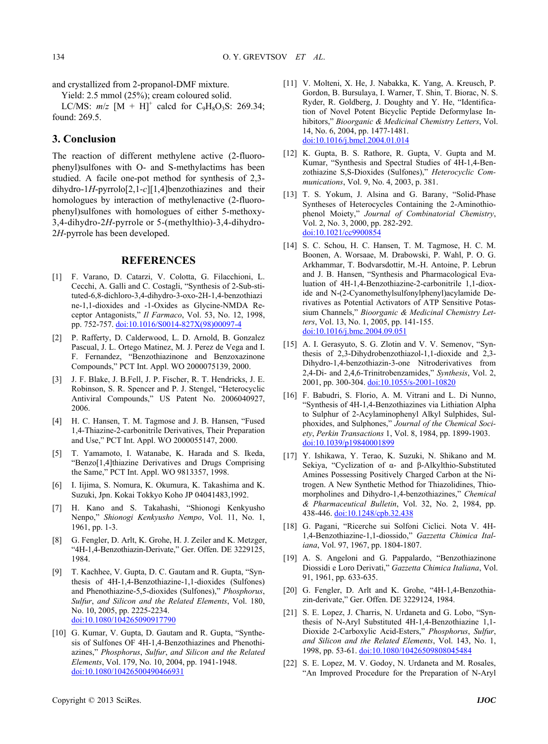and crystallized from 2-propanol-DMF mixture.

Yield: 2.5 mmol (25%); cream coloured solid.

LC/MS:  $m/z$  [M + H]<sup>+</sup> calcd for C<sub>9</sub>H<sub>8</sub>O<sub>3</sub>S: 269.34; found: 269.5.

## **3. Conclusion**

The reaction of different methylene active (2-fluorophenyl)sulfones with O- and S-methylactims has been studied. A facile one-pot method for synthesis of 2,3 dihydro-1*H*-pyrrolo[2,1-*c*][1,4]benzothiazines and their homologues by interaction of methylenactive (2-fluorophenyl)sulfones with homologues of either 5-methoxy-3,4-dihydro-2*H*-pyrrole or 5-(methylthio)-3,4-dihydro-2*H*-pyrrole has been developed.

#### **REFERENCES**

- [1] F. Varano, D. Catarzi, V. Colotta, G. Filacchioni, L. Cecchi, A. Galli and C. Costagli, "Synthesis of 2-Sub-stituted-6,8-dichloro-3,4-dihydro-3-oxo-2H-1,4-benzothiazi ne-1,1-dioxides and -1-Oxides as Glycine-NMDA Receptor Antagonists," *Il Farmaco*, Vol. 53, No. 12, 1998, pp. 752-757. [doi:10.1016/S0014-827X\(98\)00097-4](http://dx.doi.org/10.1016/S0014-827X(98)00097-4)
- [2] P. Rafferty, D. Calderwood, L. D. Arnold, B. Gonzalez Pascual, J. L. Ortego Matinez, M. J. Perez de Vega and I. F. Fernandez, "Benzothiazinone and Benzoxazinone Compounds," PCT Int. Appl. WO 2000075139, 2000.
- [3] J. F. Blake, J. B.Fell, J. P. Fischer, R. T. Hendricks, J. E. Robinson, S. R. Spencer and P. J. Stengel, "Heterocyclic Antiviral Compounds," US Patent No. 2006040927, 2006.
- [4] H. C. Hansen, T. M. Tagmose and J. B. Hansen, "Fused 1,4-Thiazine-2-carbonitrile Derivatives, Their Preparation and Use," PCT Int. Appl. WO 2000055147, 2000.
- [5] T. Yamamoto, I. Watanabe, K. Harada and S. Ikeda, "Benzo[1,4]thiazine Derivatives and Drugs Comprising the Same," PCT Int. Appl. WO 9813357, 1998.
- [6] I. Iijima, S. Nomura, K. Okumura, K. Takashima and K. Suzuki, Jpn. Kokai Tokkyo Koho JP 04041483,1992.
- [7] H. Kano and S. Takahashi, "Shionogi Kenkyusho Nenpo," *Shionogi Kenkyusho Nempo*, Vol. 11, No. 1, 1961, pp. 1-3.
- [8] G. Fengler, D. Arlt, K. Grohe, H. J. Zeiler and K. Metzger, "4H-1,4-Benzothiazin-Derivate," Ger. Offen. DE 3229125, 1984.
- [9] T. Kachhee, V. Gupta, D. C. Gautam and R. Gupta, "Synthesis of 4H-1,4-Benzothiazine-1,1-dioxides (Sulfones) and Phenothiazine-5,5-dioxides (Sulfones)," *Phosphorus*, *Sulfur*, *and Silicon and the Related Elements*, Vol. 180, No. 10, 2005, pp. 2225-2234. [doi:10.1080/104265090917790](http://dx.doi.org/10.1080/104265090917790)
- [10] G. Kumar, V. Gupta, D. Gautam and R. Gupta, "Synthesis of Sulfones OF 4H-1,4-Benzothiazines and Phenothiazines," *Phosphorus*, *Sulfur*, *and Silicon and the Related Elements*, Vol. 179, No. 10, 2004, pp. 1941-1948. [doi:10.1080/10426500490466931](http://dx.doi.org/10.1080/10426500490466931)
- [11] V. Molteni, X. He, J. Nabakka, K. Yang, A. Kreusch, P. Gordon, B. Bursulaya, I. Warner, T. Shin, T. Biorac, N. S. Ryder, R. Goldberg, J. Doughty and Y. He, "Identification of Novel Potent Bicyclic Peptide Deformylase Inhibitors," *Bioorganic & Medicinal Chemistry Letters*, Vol. 14, No. 6, 2004, pp. 1477-1481. [doi:10.1016/j.bmcl.2004.01.014](http://dx.doi.org/10.1016/j.bmcl.2004.01.014)
- [12] K. Gupta, B. S. Rathore, R. Gupta, V. Gupta and M. Kumar, "Synthesis and Spectral Studies of 4H-1,4-Benzothiazine S,S-Dioxides (Sulfones)," *Heterocyclic Communications*, Vol. 9, No. 4, 2003, p. 381.
- [13] T. S. Yokum, J. Alsina and G. Barany, "Solid-Phase Syntheses of Heterocycles Containing the 2-Aminothiophenol Moiety," *Journal of Combinatorial Chemistry*, Vol. 2, No. 3, 2000, pp. 282-292. [doi:10.1021/cc9900854](http://dx.doi.org/10.1021/cc9900854)
- [14] S. C. Schou, H. C. Hansen, T. M. Tagmose, H. C. M. Boonen, A. Worsaae, M. Drabowski, P. Wahl, P. O. G. Arkhammar, T. Bodvarsdottir, M.-H. Antoine, P. Lebrun and J. B. Hansen, "Synthesis and Pharmacological Evaluation of 4H-1,4-Benzothiazine-2-carbonitrile 1,1-dioxide and N-(2-Cyanomethylsulfonylphenyl)acylamide Derivatives as Potential Activators of ATP Sensitive Potassium Channels," *Bioorganic & Medicinal Chemistry Letters*, Vol. 13, No. 1, 2005, pp. 141-155. [doi:10.1016/j.bmc.2004.09.051](http://dx.doi.org/10.1016/j.bmc.2004.09.051)
- [15] A. I. Gerasyuto, S. G. Zlotin and V. V. Semenov, "Synthesis of 2,3-Dihydrobenzothiazol-1,1-dioxide and 2,3- Dihydro-1,4-benzothiazin-3-one Nitroderivatives from 2,4-Di- and 2,4,6-Trinitrobenzamides," *Synthesis*, Vol. 2, 2001, pp. 300-304. [doi:10.1055/s-2001-10820](http://dx.doi.org/10.1055/s-2001-10820)
- [16] F. Babudri, S. Florio, A. M. Vitrani and L. Di Nunno, "Synthesis of 4H-1,4-Benzothiazines via Lithiation Alpha to Sulphur of 2-Acylaminophenyl Alkyl Sulphides, Sulphoxides, and Sulphones," *Journal of the Chemical Society*, *Perkin Transactions* 1, Vol. 8, 1984, pp. 1899-1903. [doi:10.1039/p19840001899](http://dx.doi.org/10.1039/p19840001899)
- [17] Y. Ishikawa, Y. Terao, K. Suzuki, N. Shikano and M. Sekiya, "Cyclization of α- and β-Alkylthio-Substituted Amines Possessing Positively Charged Carbon at the Nitrogen. A New Synthetic Method for Thiazolidines, Thiomorpholines and Dihydro-1,4-benzothiazines," *Chemical & Pharmaceutical Bulletin*, Vol. 32, No. 2, 1984, pp. 438-446. [doi:10.1248/cpb.32.438](http://dx.doi.org/10.1248/cpb.32.438)
- [18] G. Pagani, "Ricerche sui Solfoni Ciclici. Nota V. 4H-1,4-Benzothiazine-1,1-diossido," *Gazzetta Chimica Italiana*, Vol. 97, 1967, pp. 1804-1807.
- [19] A. S. Angeloni and G. Pappalardo, "Benzothiazinone Diossidi e Loro Derivati," *Gazzetta Chimica Italiana*, Vol. 91, 1961, pp. 633-635.
- [20] G. Fengler, D. Arlt and K. Grohe, "4H-1,4-Benzothiazin-derivate," Ger. Offen. DE 3229124, 1984.
- [21] S. E. Lopez, J. Charris, N. Urdaneta and G. Lobo, "Synthesis of N-Aryl Substituted 4H-1,4-Benzothiazine 1,1- Dioxide 2-Carboxylic Acid-Esters," *Phosphorus*, *Sulfur*, *and Silicon and the Related Elements*, Vol. 143, No. 1, 1998, pp. 53-61. [doi:10.1080/10426509808045484](http://dx.doi.org/10.1080/10426509808045484)
- [22] S. E. Lopez, M. V. Godoy, N. Urdaneta and M. Rosales, "An Improved Procedure for the Preparation of N-Aryl